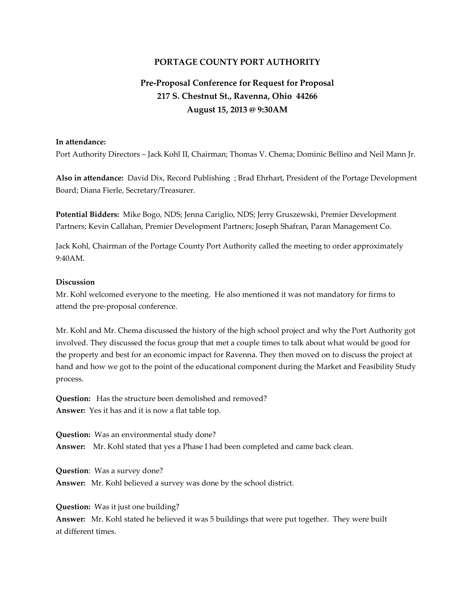## **PORTAGE COUNTY PORT AUTHORITY**

## **Pre-Proposal Conference for Request for Proposal 217 S. Chestnut St., Ravenna, Ohio 44266 August 15, 2013 @ 9:30AM**

## **In attendance:**

Port Authority Directors – Jack Kohl II, Chairman; Thomas V. Chema; Dominic Bellino and Neil Mann Jr.

**Also in attendance:** David Dix, Record Publishing ; Brad Ehrhart, President of the Portage Development Board; Diana Fierle, Secretary/Treasurer.

**Potential Bidders:** Mike Bogo, NDS; Jenna Cariglio, NDS; Jerry Gruszewski, Premier Development Partners; Kevin Callahan, Premier Development Partners; Joseph Shafran, Paran Management Co.

Jack Kohl, Chairman of the Portage County Port Authority called the meeting to order approximately 9:40AM.

## **Discussion**

Mr. Kohl welcomed everyone to the meeting. He also mentioned it was not mandatory for firms to attend the pre-proposal conference.

Mr. Kohl and Mr. Chema discussed the history of the high school project and why the Port Authority got involved. They discussed the focus group that met a couple times to talk about what would be good for the property and best for an economic impact for Ravenna. They then moved on to discuss the project at hand and how we got to the point of the educational component during the Market and Feasibility Study process.

**Question:** Has the structure been demolished and removed? **Answer:** Yes it has and it is now a flat table top.

**Question:** Was an environmental study done? **Answer:** Mr. Kohl stated that yes a Phase I had been completed and came back clean.

**Question**: Was a survey done? **Answer:** Mr. Kohl believed a survey was done by the school district.

**Question:** Was it just one building?

**Answer:** Mr. Kohl stated he believed it was 5 buildings that were put together. They were built at different times.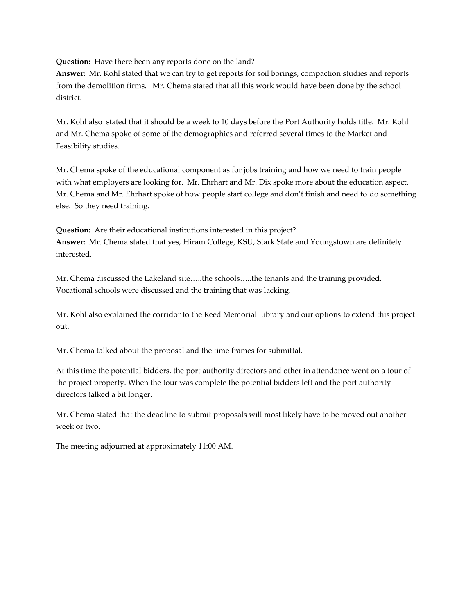**Question:** Have there been any reports done on the land?

**Answer:** Mr. Kohl stated that we can try to get reports for soil borings, compaction studies and reports from the demolition firms. Mr. Chema stated that all this work would have been done by the school district.

Mr. Kohl also stated that it should be a week to 10 days before the Port Authority holds title. Mr. Kohl and Mr. Chema spoke of some of the demographics and referred several times to the Market and Feasibility studies.

Mr. Chema spoke of the educational component as for jobs training and how we need to train people with what employers are looking for. Mr. Ehrhart and Mr. Dix spoke more about the education aspect. Mr. Chema and Mr. Ehrhart spoke of how people start college and don't finish and need to do something else. So they need training.

**Question:** Are their educational institutions interested in this project? **Answer:** Mr. Chema stated that yes, Hiram College, KSU, Stark State and Youngstown are definitely interested.

Mr. Chema discussed the Lakeland site…..the schools…..the tenants and the training provided. Vocational schools were discussed and the training that was lacking.

Mr. Kohl also explained the corridor to the Reed Memorial Library and our options to extend this project out.

Mr. Chema talked about the proposal and the time frames for submittal.

At this time the potential bidders, the port authority directors and other in attendance went on a tour of the project property. When the tour was complete the potential bidders left and the port authority directors talked a bit longer.

Mr. Chema stated that the deadline to submit proposals will most likely have to be moved out another week or two.

The meeting adjourned at approximately 11:00 AM.